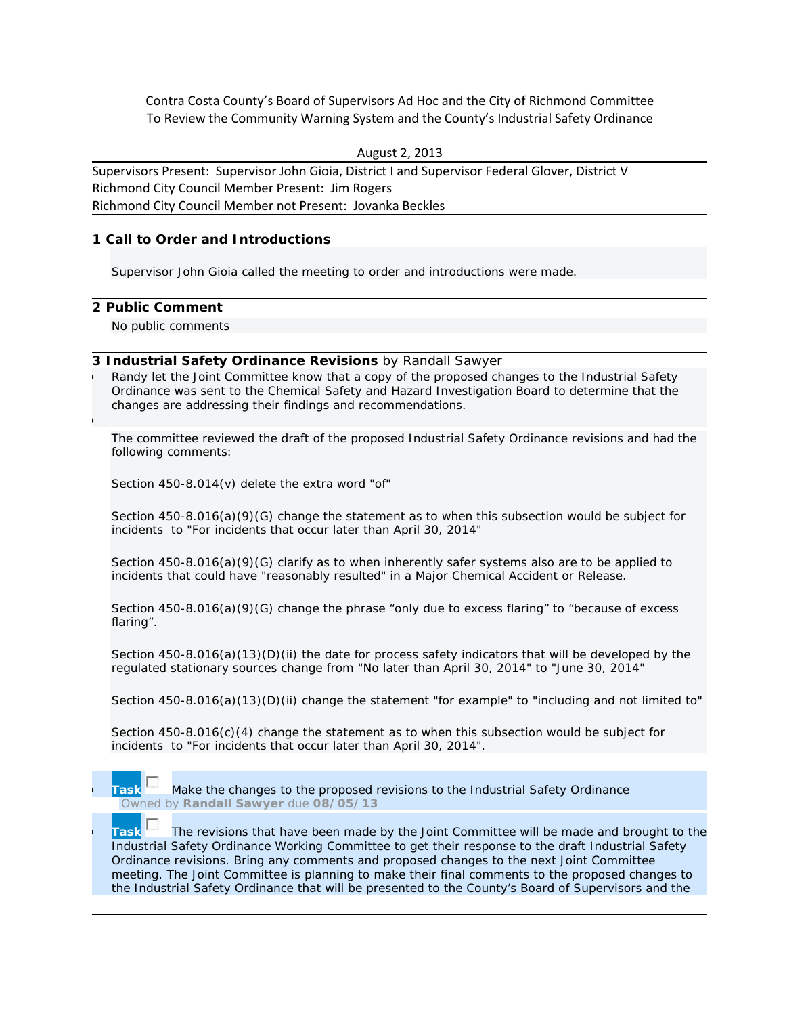Contra Costa County's Board of Supervisors Ad Hoc and the City of Richmond Committee To Review the Community Warning System and the County's Industrial Safety Ordinance

August 2, 2013

Supervisors Present: Supervisor John Gioia, District I and Supervisor Federal Glover, District V Richmond City Council Member Present: Jim Rogers Richmond City Council Member not Present: Jovanka Beckles

## **1 Call to Order and Introductions**

Supervisor John Gioia called the meeting to order and introductions were made.

## **2 Public Comment**

•

No public comments

## **3 Industrial Safety Ordinance Revisions** *by Randall Sawyer*

• Randy let the Joint Committee know that a copy of the proposed changes to the Industrial Safety Ordinance was sent to the Chemical Safety and Hazard Investigation Board to determine that the changes are addressing their findings and recommendations.

The committee reviewed the draft of the proposed Industrial Safety Ordinance revisions and had the following comments:

Section 450-8.014(v) delete the extra word "of"

Section 450-8.016(a)(9)(G) change the statement as to when this subsection would be subject for incidents to "For incidents that occur later than April 30, 2014"

Section 450-8.016(a)(9)(G) clarify as to when inherently safer systems also are to be applied to incidents that could have "reasonably resulted" in a Major Chemical Accident or Release.

Section 450-8.016(a)(9)(G) change the phrase "only due to excess flaring" to "because of excess flaring".

Section 450-8.016(a)(13)(D)(ii) the date for process safety indicators that will be developed by the regulated stationary sources change from "No later than April 30, 2014" to "June 30, 2014"

Section 450-8.016(a)(13)(D)(ii) change the statement "for example" to "including and not limited to"

Section 450-8.016(c)(4) change the statement as to when this subsection would be subject for incidents to "For incidents that occur later than April 30, 2014".



**Task** The revisions that have been made by the Joint Committee will be made and brought to the Industrial Safety Ordinance Working Committee to get their response to the draft Industrial Safety Ordinance revisions. Bring any comments and proposed changes to the next Joint Committee meeting. The Joint Committee is planning to make their final comments to the proposed changes to the Industrial Safety Ordinance that will be presented to the County's Board of Supervisors and the